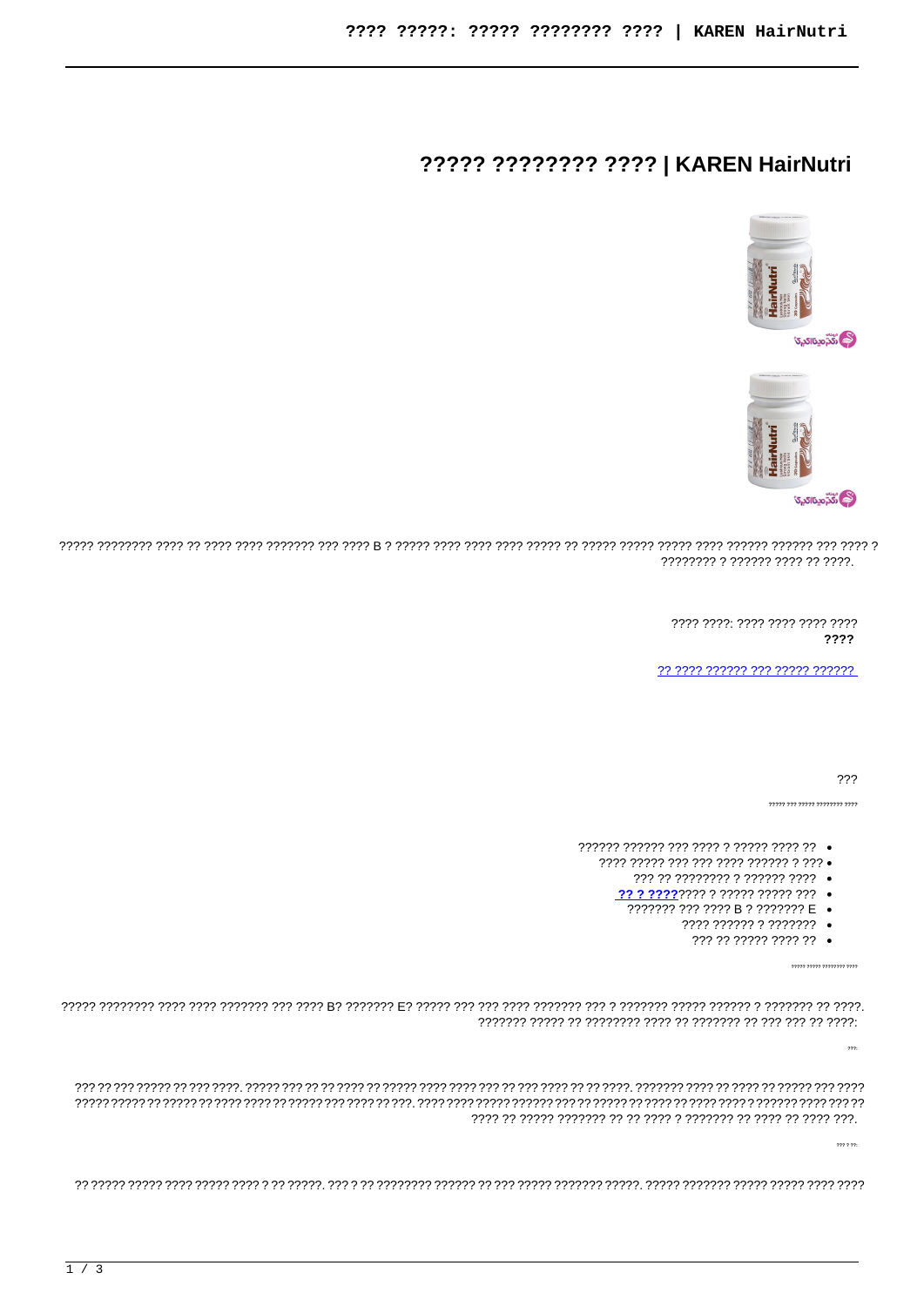## ????? ???????? ???? | KAREN HairNutri



**ٞۮ؊**ڗۄۑٮ<sub>۠</sub>ٵػۑ</sub>؆



77777 1777777 1777 1777 1777 1777 1777 1777 1777 1777 1777 1777 1777 17777 17777 17777 17777 17777 177777 1777 ???????? ? ?????? ???? ?? ????.

> 7777 7777 7777 7777 7777 7777 ????

77 7777 777777 777 77777 777777

???

,<br>דררר דררררררר דרררר דריר דרר

- 777777 777777 777 7777 7 77777 7777 77
	- 7777 77777 777 777 7777 777777 7 777 .
		- ??? ?? ???????? ? ?????? ???? •
		-
		- ??????? ??? ???? B ? ??????? E .
			- ???? ?????? ? ???????
				- ??? ?? ????? ???? ?? •

 $\overline{\eta}$  מינויות ומות ו

 $\frac{1}{2}$ 

 $\frac{1}{2}$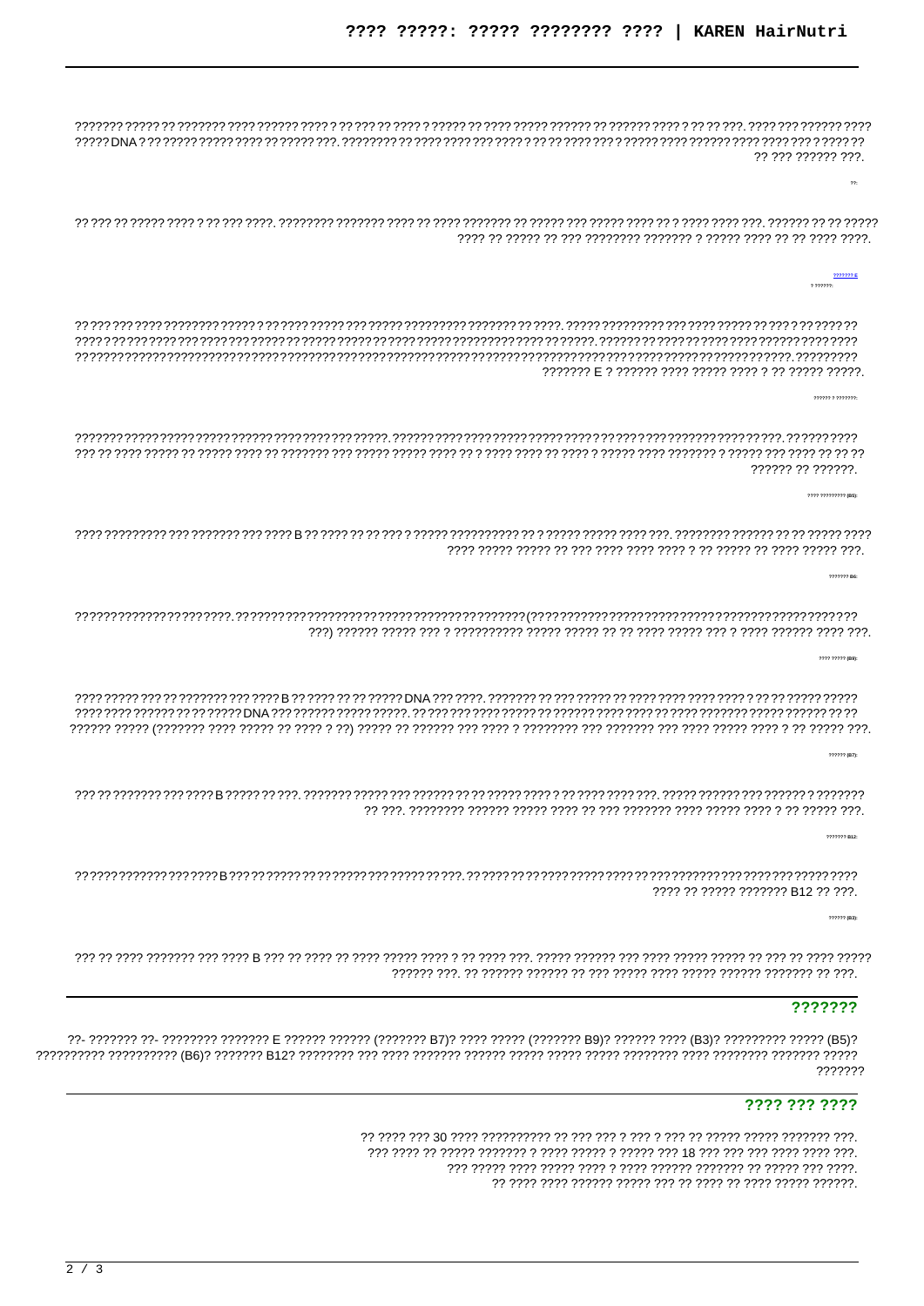77 777 777777 777  $\overline{22}$  $222222$  $\frac{1}{2} \frac{1}{2} \frac{1}{2} \frac{1}{2} \frac{1}{2} \frac{1}{2} \frac{1}{2} \frac{1}{2} \frac{1}{2} \frac{1}{2} \frac{1}{2} \frac{1}{2} \frac{1}{2} \frac{1}{2} \frac{1}{2} \frac{1}{2} \frac{1}{2} \frac{1}{2} \frac{1}{2} \frac{1}{2} \frac{1}{2} \frac{1}{2} \frac{1}{2} \frac{1}{2} \frac{1}{2} \frac{1}{2} \frac{1}{2} \frac{1}{2} \frac{1}{2} \frac{1}{2} \frac{1}{2} \frac{$ 777777 77 777777 2222222 BB ???? ????? (B9) 222222 (B7): ???? ?? ????? ??????? B12 ?? ???.  $222222$  (R3) ???????

??- ??????? ??- ???????? ??????? E ?????? ?????? (??????? B7)? ???? ????? (??????? B9)? ?????? (B3)? ????????? ????? (B5)? 7777777

## ???? ??? ????